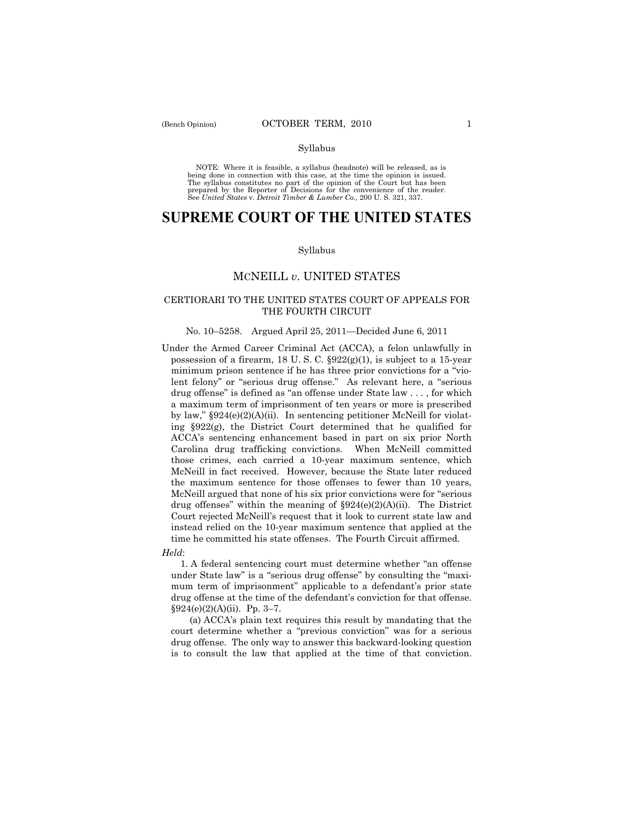#### Syllabus

NOTE: Where it is feasible, a syllabus (headnote) will be released, as is being done in connection with this case, at the time the opinion is issued. The syllabus constitutes no part of the opinion of the Court but has been<br>prepared by the Reporter of Decisions for the convenience of the reader.<br>See United States v. Detroit Timber & Lumber Co., 200 U. S. 321, 337.

# **SUPREME COURT OF THE UNITED STATES**

#### Syllabus

## MCNEILL *v*. UNITED STATES

## CERTIORARI TO THE UNITED STATES COURT OF APPEALS FOR THE FOURTH CIRCUIT

#### No. 10–5258. Argued April 25, 2011—Decided June 6, 2011

Under the Armed Career Criminal Act (ACCA), a felon unlawfully in possession of a firearm, 18 U.S.C.  $\S 922(g)(1)$ , is subject to a 15-year minimum prison sentence if he has three prior convictions for a "violent felony" or "serious drug offense." As relevant here, a "serious drug offense" is defined as "an offense under State law . . . , for which a maximum term of imprisonment of ten years or more is prescribed by law," §924(e)(2)(A)(ii). In sentencing petitioner McNeill for violating §922(g), the District Court determined that he qualified for ACCA's sentencing enhancement based in part on six prior North Carolina drug trafficking convictions. When McNeill committed those crimes, each carried a 10-year maximum sentence, which McNeill in fact received. However, because the State later reduced the maximum sentence for those offenses to fewer than 10 years, McNeill argued that none of his six prior convictions were for "serious drug offenses" within the meaning of  $\S 924(e)(2)(A)(ii)$ . The District Court rejected McNeill's request that it look to current state law and instead relied on the 10-year maximum sentence that applied at the time he committed his state offenses. The Fourth Circuit affirmed.

## *Held*:

 1. A federal sentencing court must determine whether "an offense under State law" is a "serious drug offense" by consulting the "maximum term of imprisonment" applicable to a defendant's prior state drug offense at the time of the defendant's conviction for that offense. §924(e)(2)(A)(ii). Pp. 3–7.

 (a) ACCA's plain text requires this result by mandating that the court determine whether a "previous conviction" was for a serious drug offense. The only way to answer this backward-looking question is to consult the law that applied at the time of that conviction.